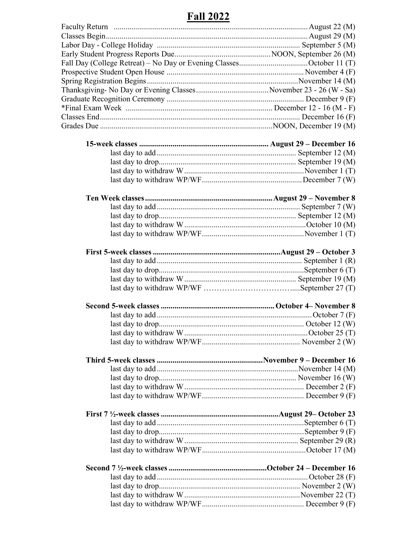## **Fall 2022**